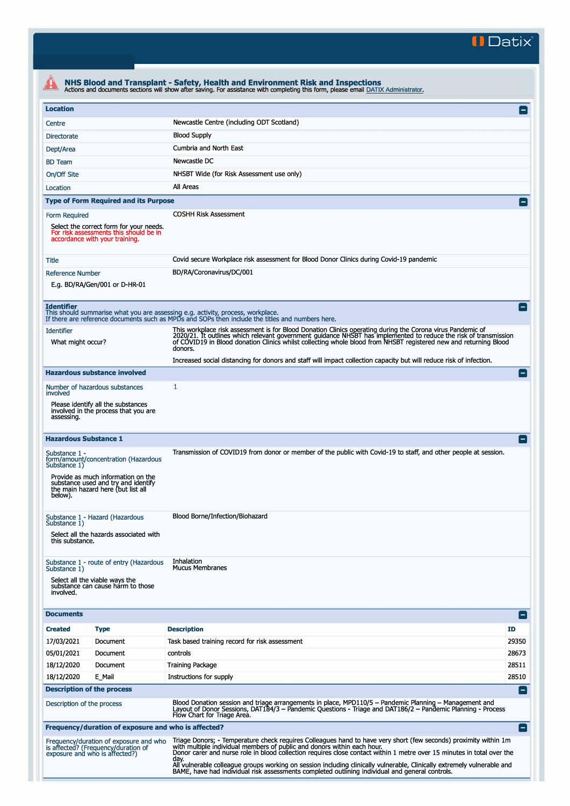**II Datix"** 

| <b>Location</b>                                                                                              |                                                                                                                                                         |                                                                                                                                                                                                                                                                                                                                                                                                                                                          |                    |  |  |  |  |
|--------------------------------------------------------------------------------------------------------------|---------------------------------------------------------------------------------------------------------------------------------------------------------|----------------------------------------------------------------------------------------------------------------------------------------------------------------------------------------------------------------------------------------------------------------------------------------------------------------------------------------------------------------------------------------------------------------------------------------------------------|--------------------|--|--|--|--|
| Centre                                                                                                       |                                                                                                                                                         | Newcastle Centre (including ODT Scotland)                                                                                                                                                                                                                                                                                                                                                                                                                |                    |  |  |  |  |
| <b>Blood Supply</b><br><b>Directorate</b>                                                                    |                                                                                                                                                         |                                                                                                                                                                                                                                                                                                                                                                                                                                                          |                    |  |  |  |  |
| Dept/Area                                                                                                    |                                                                                                                                                         | Cumbria and North East                                                                                                                                                                                                                                                                                                                                                                                                                                   |                    |  |  |  |  |
|                                                                                                              |                                                                                                                                                         | Newcastle DC                                                                                                                                                                                                                                                                                                                                                                                                                                             |                    |  |  |  |  |
| <b>BD</b> Team                                                                                               |                                                                                                                                                         | NHSBT Wide (for Risk Assessment use only)                                                                                                                                                                                                                                                                                                                                                                                                                |                    |  |  |  |  |
| On/Off Site                                                                                                  |                                                                                                                                                         |                                                                                                                                                                                                                                                                                                                                                                                                                                                          |                    |  |  |  |  |
| Location                                                                                                     |                                                                                                                                                         | All Areas                                                                                                                                                                                                                                                                                                                                                                                                                                                |                    |  |  |  |  |
|                                                                                                              | <b>Type of Form Required and its Purpose</b>                                                                                                            |                                                                                                                                                                                                                                                                                                                                                                                                                                                          |                    |  |  |  |  |
| Form Required                                                                                                | Select the correct form for your needs.<br>For risk assessments this should be in<br>accordance with your training.                                     | <b>COSHH Risk Assessment</b>                                                                                                                                                                                                                                                                                                                                                                                                                             |                    |  |  |  |  |
| Title                                                                                                        |                                                                                                                                                         | Covid secure Workplace risk assessment for Blood Donor Clinics during Covid-19 pandemic                                                                                                                                                                                                                                                                                                                                                                  |                    |  |  |  |  |
| <b>Reference Number</b>                                                                                      | E.g. BD/RA/Gen/001 or D-HR-01                                                                                                                           | BD/RA/Coronavirus/DC/001                                                                                                                                                                                                                                                                                                                                                                                                                                 |                    |  |  |  |  |
| <b>Identifier</b>                                                                                            |                                                                                                                                                         | This should summarise what you are assessing e.g. activity, process, workplace.<br>If there are reference documents such as MPDs and SOPs then include the titles and numbers here.                                                                                                                                                                                                                                                                      |                    |  |  |  |  |
| <b>Identifier</b><br>What might occur?                                                                       |                                                                                                                                                         | This workplace risk assessment is for Blood Donation Clinics operating during the Corona virus Pandemic of<br>2020/21. It outlines which relevant government guidance NHSBT has implemented to reduce the risk of transmission<br>of COVID19 in Blood donation Clinics whilst collecting whole blood from NHSBT registered new and returning Blood<br>donors.                                                                                            |                    |  |  |  |  |
|                                                                                                              |                                                                                                                                                         | Increased social distancing for donors and staff will impact collection capacity but will reduce risk of infection.                                                                                                                                                                                                                                                                                                                                      |                    |  |  |  |  |
|                                                                                                              | <b>Hazardous substance involved</b>                                                                                                                     |                                                                                                                                                                                                                                                                                                                                                                                                                                                          |                    |  |  |  |  |
| Number of hazardous substances<br>involved                                                                   |                                                                                                                                                         | 1                                                                                                                                                                                                                                                                                                                                                                                                                                                        |                    |  |  |  |  |
| assessing.                                                                                                   | Please identify all the substances<br>involved in the process that you are                                                                              |                                                                                                                                                                                                                                                                                                                                                                                                                                                          |                    |  |  |  |  |
| <b>Hazardous Substance 1</b>                                                                                 |                                                                                                                                                         |                                                                                                                                                                                                                                                                                                                                                                                                                                                          |                    |  |  |  |  |
| Substance 1 -<br>Substance 1)<br>below).                                                                     | form/amount/concentration (Hazardous<br>Provide as much information on the<br>substance used and try and identify<br>the main hazard here (but list all | Transmission of COVID19 from donor or member of the public with Covid-19 to staff, and other people at session.                                                                                                                                                                                                                                                                                                                                          |                    |  |  |  |  |
| Substance 1 - Hazard (Hazardous<br>Substance 1)<br>Select all the hazards associated with<br>this substance. |                                                                                                                                                         | Blood Borne/Infection/Biohazard                                                                                                                                                                                                                                                                                                                                                                                                                          |                    |  |  |  |  |
| Substance 1)<br>involved.                                                                                    | Substance 1 - route of entry (Hazardous<br>Select all the viable ways the<br>substance can cause harm to those                                          | Inhalation<br><b>Mucus Membranes</b>                                                                                                                                                                                                                                                                                                                                                                                                                     |                    |  |  |  |  |
| <b>Documents</b>                                                                                             |                                                                                                                                                         |                                                                                                                                                                                                                                                                                                                                                                                                                                                          | E                  |  |  |  |  |
| <b>Created</b>                                                                                               | <b>Type</b>                                                                                                                                             | <b>Description</b>                                                                                                                                                                                                                                                                                                                                                                                                                                       | ID.                |  |  |  |  |
| 17/03/2021                                                                                                   | Document                                                                                                                                                | Task based training record for risk assessment                                                                                                                                                                                                                                                                                                                                                                                                           | 29350              |  |  |  |  |
| 05/01/2021                                                                                                   | Document                                                                                                                                                | controls                                                                                                                                                                                                                                                                                                                                                                                                                                                 | 28673              |  |  |  |  |
| 18/12/2020                                                                                                   | Document                                                                                                                                                | <b>Training Package</b>                                                                                                                                                                                                                                                                                                                                                                                                                                  | 28511              |  |  |  |  |
| 18/12/2020                                                                                                   | E Mail                                                                                                                                                  | Instructions for supply                                                                                                                                                                                                                                                                                                                                                                                                                                  | 28510              |  |  |  |  |
|                                                                                                              | <b>Description of the process</b>                                                                                                                       |                                                                                                                                                                                                                                                                                                                                                                                                                                                          | $\left  - \right $ |  |  |  |  |
| Description of the process                                                                                   |                                                                                                                                                         | Blood Donation session and triage arrangements in place, MPD110/5 - Pandemic Planning - Management and<br>Layout of Donor Sessions, DAT184/3 – Pandemic Questions - Triage and DAT186/2 – Pandemic Planning - Process<br>Flow Chart for Triage Area.                                                                                                                                                                                                     |                    |  |  |  |  |
|                                                                                                              | Frequency/duration of exposure and who is affected?                                                                                                     |                                                                                                                                                                                                                                                                                                                                                                                                                                                          | $\blacksquare$     |  |  |  |  |
|                                                                                                              |                                                                                                                                                         |                                                                                                                                                                                                                                                                                                                                                                                                                                                          |                    |  |  |  |  |
|                                                                                                              | Frequency/duration of exposure and who<br>is affected? (Frequency/duration of<br>exposure and who is affected?)                                         | Triage Donors; - Temperature check requires Colleagues hand to have very short (few seconds) proximity within 1m<br>with multiple individual members of public and donors within each hour.<br>Donor carer and nurse role in blood collection requires close contact within 1 metre over 15 minutes in total over the<br>day.<br>All vulnerable colleague groups working on session including clinically vulnerable, Clinically extremely vulnerable and |                    |  |  |  |  |